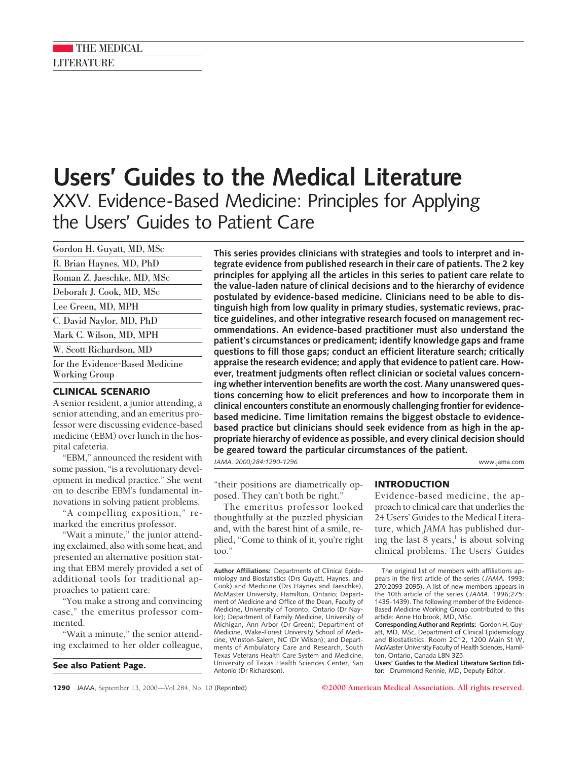# **Users' Guides to the Medical Literature** XXV. Evidence-Based Medicine: Principles for Applying the Users' Guides to Patient Care

| Gordon H. Guyatt, MD, MSc                               |
|---------------------------------------------------------|
| R. Brian Haynes, MD, PhD                                |
| Roman Z. Jaeschke, MD, MSc                              |
| Deborah J. Cook, MD, MSc                                |
| Lee Green, MD, MPH                                      |
| C. David Naylor, MD, PhD                                |
| Mark C. Wilson, MD, MPH                                 |
| W. Scott Richardson, MD                                 |
| for the Evidence-Based Medicine<br><b>Working Group</b> |

# **CLINICAL SCENARIO**

A senior resident, a junior attending, a senior attending, and an emeritus professor were discussing evidence-based medicine (EBM) over lunch in the hospital cafeteria.

"EBM," announced the resident with some passion, "is a revolutionary development in medical practice." She went on to describe EBM's fundamental innovations in solving patient problems.

"A compelling exposition," remarked the emeritus professor.

"Wait a minute," the junior attending exclaimed, also with some heat, and presented an alternative position stating that EBM merely provided a set of additional tools for traditional approaches to patient care.

"You make a strong and convincing case," the emeritus professor commented.

"Wait a minute," the senior attending exclaimed to her older colleague,

**See also Patient Page.**

**This series provides clinicians with strategies and tools to interpret and integrate evidence from published research in their care of patients. The 2 key principles for applying all the articles in this series to patient care relate to the value-laden nature of clinical decisions and to the hierarchy of evidence postulated by evidence-based medicine. Clinicians need to be able to distinguish high from low quality in primary studies, systematic reviews, practice guidelines, and other integrative research focused on management recommendations. An evidence-based practitioner must also understand the patient's circumstances or predicament; identify knowledge gaps and frame questions to fill those gaps; conduct an efficient literature search; critically appraise the research evidence; and apply that evidence to patient care. However, treatment judgments often reflect clinician or societal values concerning whether intervention benefits are worth the cost. Many unanswered questions concerning how to elicit preferences and how to incorporate them in clinical encounters constitute an enormously challenging frontier for evidencebased medicine. Time limitation remains the biggest obstacle to evidencebased practice but clinicians should seek evidence from as high in the appropriate hierarchy of evidence as possible, and every clinical decision should be geared toward the particular circumstances of the patient.**

*JAMA. 2000;284:1290-1296* www.jama.com

"their positions are diametrically opposed. They can't both be right."

The emeritus professor looked thoughtfully at the puzzled physician and, with the barest hint of a smile, replied, "Come to think of it, you're right too."

**Author Affiliations:** Departments of Clinical Epidemiology and Biostatistics (Drs Guyatt, Haynes, and Cook) and Medicine (Drs Haynes and Jaeschke), McMaster University, Hamilton, Ontario; Depart-ment of Medicine and Office of the Dean, Faculty of Medicine, University of Toronto, Ontario (Dr Naylor); Department of Family Medicine, University of Michigan, Ann Arbor (Dr Green); Department of Medicine, Wake-Forest University School of Medicine, Winston-Salem, NC (Dr Wilson); and Departments of Ambulatory Care and Research, South Texas Veterans Health Care System and Medicine, University of Texas Health Sciences Center, San Antonio (Dr Richardson).

## **INTRODUCTION**

Evidence-based medicine, the approach to clinical care that underlies the 24 Users' Guides to the Medical Literature, which *JAMA* has published during the last 8 years, $\frac{1}{1}$  is about solving clinical problems. The Users' Guides

The original list of members with affiliations appears in the first article of the series (*JAMA.* 1993; 270:2093-2095). A list of new members appears in the 10th article of the series (*JAMA.* 1996;275: 1435-1439). The following member of the Evidence-Based Medicine Working Group contributed to this article: Anne Holbrook, MD, MSc.

**1290** JAMA, September 13, 2000—Vol 284, No. 10 (Reprinted) **©2000 American Medical Association. All rights reserved.**

**Corresponding Author and Reprints:** Gordon H. Guyatt, MD, MSc, Department of Clinical Epidemiology and Biostatistics, Room 2C12, 1200 Main St W, McMaster University Faculty of Health Sciences, Hamilton, Ontario, Canada L8N 3Z5.

**Users' Guides to the Medical Literature Section Editor:** Drummond Rennie, MD, Deputy Editor.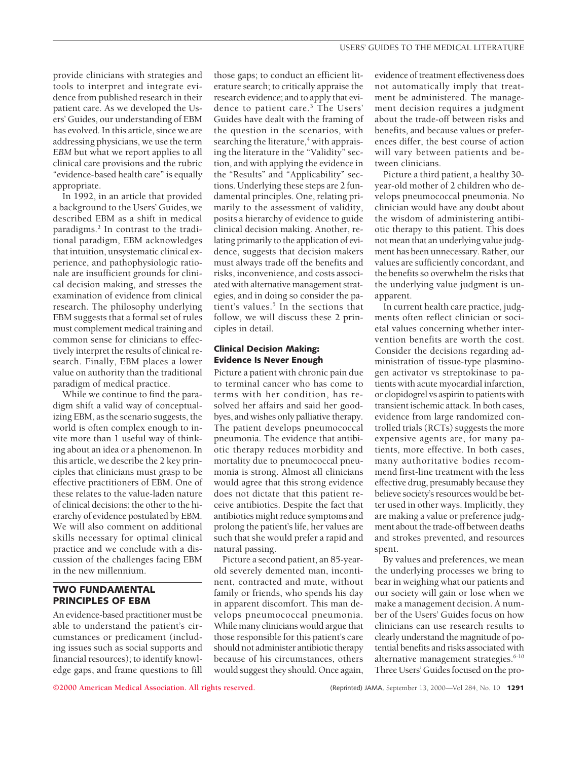provide clinicians with strategies and tools to interpret and integrate evidence from published research in their patient care. As we developed the Users' Guides, our understanding of EBM has evolved. In this article, since we are addressing physicians, we use the term *EBM* but what we report applies to all clinical care provisions and the rubric "evidence-based health care" is equally appropriate.

In 1992, in an article that provided a background to the Users' Guides, we described EBM as a shift in medical paradigms.2 In contrast to the traditional paradigm, EBM acknowledges that intuition, unsystematic clinical experience, and pathophysiologic rationale are insufficient grounds for clinical decision making, and stresses the examination of evidence from clinical research. The philosophy underlying EBM suggests that a formal set of rules must complement medical training and common sense for clinicians to effectively interpret the results of clinical research. Finally, EBM places a lower value on authority than the traditional paradigm of medical practice.

While we continue to find the paradigm shift a valid way of conceptualizing EBM, as the scenario suggests, the world is often complex enough to invite more than 1 useful way of thinking about an idea or a phenomenon. In this article, we describe the 2 key principles that clinicians must grasp to be effective practitioners of EBM. One of these relates to the value-laden nature of clinical decisions; the other to the hierarchy of evidence postulated by EBM. We will also comment on additional skills necessary for optimal clinical practice and we conclude with a discussion of the challenges facing EBM in the new millennium.

## **TWO FUNDAMENTAL PRINCIPLES OF EBM**

An evidence-based practitioner must be able to understand the patient's circumstances or predicament (including issues such as social supports and financial resources); to identify knowledge gaps, and frame questions to fill those gaps; to conduct an efficient literature search; to critically appraise the research evidence; and to apply that evidence to patient care.<sup>3</sup> The Users' Guides have dealt with the framing of the question in the scenarios, with searching the literature,<sup>4</sup> with appraising the literature in the "Validity" section, and with applying the evidence in the "Results" and "Applicability" sections. Underlying these steps are 2 fundamental principles. One, relating primarily to the assessment of validity, posits a hierarchy of evidence to guide clinical decision making. Another, relating primarily to the application of evidence, suggests that decision makers must always trade off the benefits and risks, inconvenience, and costs associated with alternative management strategies, and in doing so consider the patient's values.<sup>5</sup> In the sections that follow, we will discuss these 2 principles in detail.

#### **Clinical Decision Making: Evidence Is Never Enough**

Picture a patient with chronic pain due to terminal cancer who has come to terms with her condition, has resolved her affairs and said her goodbyes, and wishes only palliative therapy. The patient develops pneumococcal pneumonia. The evidence that antibiotic therapy reduces morbidity and mortality due to pneumococcal pneumonia is strong. Almost all clinicians would agree that this strong evidence does not dictate that this patient receive antibiotics. Despite the fact that antibiotics might reduce symptoms and prolong the patient's life, her values are such that she would prefer a rapid and natural passing.

Picture a second patient, an 85-yearold severely demented man, incontinent, contracted and mute, without family or friends, who spends his day in apparent discomfort. This man develops pneumococcal pneumonia. While many clinicians would argue that those responsible for this patient's care should not administer antibiotic therapy because of his circumstances, others would suggest they should. Once again,

evidence of treatment effectiveness does not automatically imply that treatment be administered. The management decision requires a judgment about the trade-off between risks and benefits, and because values or preferences differ, the best course of action will vary between patients and between clinicians.

Picture a third patient, a healthy 30 year-old mother of 2 children who develops pneumococcal pneumonia. No clinician would have any doubt about the wisdom of administering antibiotic therapy to this patient. This does not mean that an underlying value judgment has been unnecessary. Rather, our values are sufficiently concordant, and the benefits so overwhelm the risks that the underlying value judgment is unapparent.

In current health care practice, judgments often reflect clinician or societal values concerning whether intervention benefits are worth the cost. Consider the decisions regarding administration of tissue-type plasminogen activator vs streptokinase to patients with acute myocardial infarction, or clopidogrel vs aspirin to patients with transient ischemic attack. In both cases, evidence from large randomized controlled trials (RCTs) suggests the more expensive agents are, for many patients, more effective. In both cases, many authoritative bodies recommend first-line treatment with the less effective drug, presumably because they believe society's resources would be better used in other ways. Implicitly, they are making a value or preference judgment about the trade-off between deaths and strokes prevented, and resources spent.

By values and preferences, we mean the underlying processes we bring to bear in weighing what our patients and our society will gain or lose when we make a management decision. A number of the Users' Guides focus on how clinicians can use research results to clearly understand the magnitude of potential benefits and risks associated with alternative management strategies.<sup>6-10</sup> Three Users' Guides focused on the pro-

**©2000 American Medical Association. All rights reserved.** (Reprinted) JAMA, September 13, 2000—Vol 284, No. 10 **1291**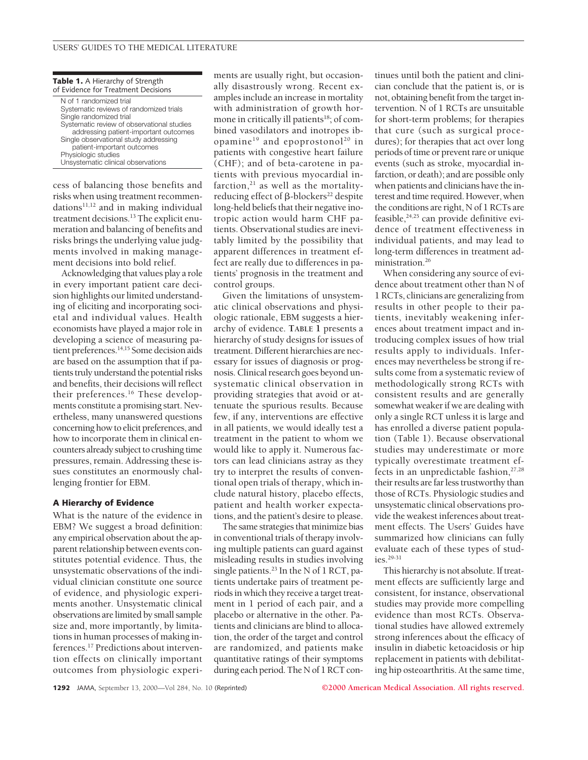**Table 1.** A Hierarchy of Strength of Evidence for Treatment Decisions N of 1 randomized trial Systematic reviews of randomized trials Single randomized trial Systematic review of observational studies addressing patient-important outcomes Single observational study addressing patient-important outcomes

Physiologic studies Unsystematic clinical observations

cess of balancing those benefits and risks when using treatment recommendations $11,12$  and in making individual treatment decisions.13 The explicit enumeration and balancing of benefits and risks brings the underlying value judgments involved in making management decisions into bold relief.

Acknowledging that values play a role in every important patient care decision highlights our limited understanding of eliciting and incorporating societal and individual values. Health economists have played a major role in developing a science of measuring patient preferences.<sup>14,15</sup> Some decision aids are based on the assumption that if patients truly understand the potential risks and benefits, their decisions will reflect their preferences.<sup>16</sup> These developments constitute a promising start. Nevertheless, many unanswered questions concerning how to elicit preferences, and how to incorporate them in clinical encounters already subject to crushing time pressures, remain. Addressing these issues constitutes an enormously challenging frontier for EBM.

#### **A Hierarchy of Evidence**

What is the nature of the evidence in EBM? We suggest a broad definition: any empirical observation about the apparent relationship between events constitutes potential evidence. Thus, the unsystematic observations of the individual clinician constitute one source of evidence, and physiologic experiments another. Unsystematic clinical observations are limited by small sample size and, more importantly, by limitations in human processes of making inferences.17 Predictions about intervention effects on clinically important outcomes from physiologic experiments are usually right, but occasionally disastrously wrong. Recent examples include an increase in mortality with administration of growth hormone in critically ill patients<sup>18</sup>; of combined vasodilators and inotropes ibopamine<sup>19</sup> and epoprostonol<sup>20</sup> in patients with congestive heart failure (CHF); and of beta-carotene in patients with previous myocardial infarction, $21$  as well as the mortalityreducing effect of  $\beta$ -blockers<sup>22</sup> despite long-held beliefs that their negative inotropic action would harm CHF patients. Observational studies are inevitably limited by the possibility that apparent differences in treatment effect are really due to differences in patients' prognosis in the treatment and control groups.

Given the limitations of unsystematic clinical observations and physiologic rationale, EBM suggests a hierarchy of evidence. **TABLE 1** presents a hierarchy of study designs for issues of treatment. Different hierarchies are necessary for issues of diagnosis or prognosis. Clinical research goes beyond unsystematic clinical observation in providing strategies that avoid or attenuate the spurious results. Because few, if any, interventions are effective in all patients, we would ideally test a treatment in the patient to whom we would like to apply it. Numerous factors can lead clinicians astray as they try to interpret the results of conventional open trials of therapy, which include natural history, placebo effects, patient and health worker expectations, and the patient's desire to please.

The same strategies that minimize bias in conventional trials of therapy involving multiple patients can guard against misleading results in studies involving single patients. $^{23}$  In the N of 1 RCT, patients undertake pairs of treatment periods in which they receive a target treatment in 1 period of each pair, and a placebo or alternative in the other. Patients and clinicians are blind to allocation, the order of the target and control are randomized, and patients make quantitative ratings of their symptoms during each period. The N of 1 RCT con-

tinues until both the patient and clinician conclude that the patient is, or is not, obtaining benefit from the target intervention. N of 1 RCTs are unsuitable for short-term problems; for therapies that cure (such as surgical procedures); for therapies that act over long periods of time or prevent rare or unique events (such as stroke, myocardial infarction, or death); and are possible only when patients and clinicians have the interest and time required. However, when the conditions are right, N of 1 RCTs are feasible, $24,25$  can provide definitive evidence of treatment effectiveness in individual patients, and may lead to long-term differences in treatment administration.<sup>26</sup>

When considering any source of evidence about treatment other than N of 1 RCTs, clinicians are generalizing from results in other people to their patients, inevitably weakening inferences about treatment impact and introducing complex issues of how trial results apply to individuals. Inferences may nevertheless be strong if results come from a systematic review of methodologically strong RCTs with consistent results and are generally somewhat weaker if we are dealing with only a single RCT unless it is large and has enrolled a diverse patient population (Table 1). Because observational studies may underestimate or more typically overestimate treatment effects in an unpredictable fashion, $27,28$ their results are far less trustworthy than those of RCTs. Physiologic studies and unsystematic clinical observations provide the weakest inferences about treatment effects. The Users' Guides have summarized how clinicians can fully evaluate each of these types of studies.29-31

This hierarchy is not absolute. If treatment effects are sufficiently large and consistent, for instance, observational studies may provide more compelling evidence than most RCTs. Observational studies have allowed extremely strong inferences about the efficacy of insulin in diabetic ketoacidosis or hip replacement in patients with debilitating hip osteoarthritis. At the same time,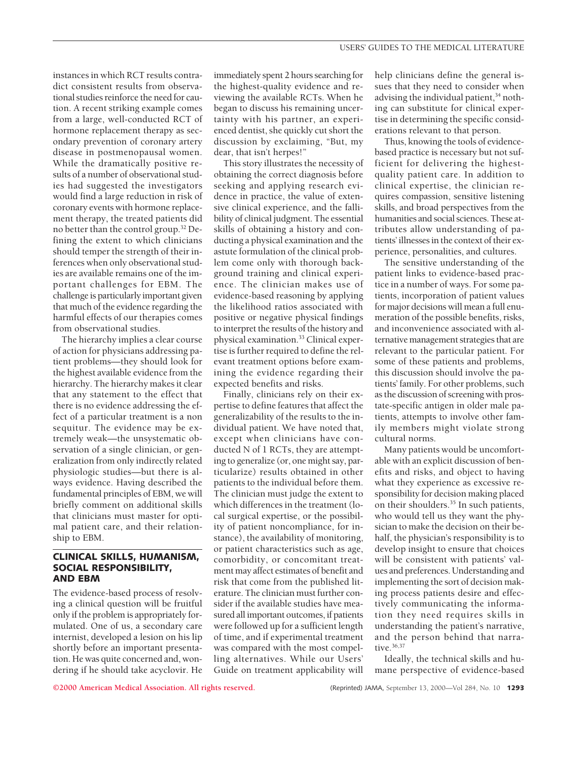instances in which RCT results contradict consistent results from observational studies reinforce the need for caution. A recent striking example comes from a large, well-conducted RCT of hormone replacement therapy as secondary prevention of coronary artery disease in postmenopausal women. While the dramatically positive results of a number of observational studies had suggested the investigators would find a large reduction in risk of coronary events with hormone replacement therapy, the treated patients did no better than the control group.32 Defining the extent to which clinicians should temper the strength of their inferences when only observational studies are available remains one of the important challenges for EBM. The challenge is particularly important given that much of the evidence regarding the harmful effects of our therapies comes from observational studies.

The hierarchy implies a clear course of action for physicians addressing patient problems—they should look for the highest available evidence from the hierarchy. The hierarchy makes it clear that any statement to the effect that there is no evidence addressing the effect of a particular treatment is a non sequitur. The evidence may be extremely weak—the unsystematic observation of a single clinician, or generalization from only indirectly related physiologic studies—but there is always evidence. Having described the fundamental principles of EBM, we will briefly comment on additional skills that clinicians must master for optimal patient care, and their relationship to EBM.

### **CLINICAL SKILLS, HUMANISM, SOCIAL RESPONSIBILITY, AND EBM**

The evidence-based process of resolving a clinical question will be fruitful only if the problem is appropriately formulated. One of us, a secondary care internist, developed a lesion on his lip shortly before an important presentation. He was quite concerned and, wondering if he should take acyclovir. He

immediately spent 2 hours searching for the highest-quality evidence and reviewing the available RCTs. When he began to discuss his remaining uncertainty with his partner, an experienced dentist, she quickly cut short the discussion by exclaiming, "But, my dear, that isn't herpes!"

This story illustrates the necessity of obtaining the correct diagnosis before seeking and applying research evidence in practice, the value of extensive clinical experience, and the fallibility of clinical judgment. The essential skills of obtaining a history and conducting a physical examination and the astute formulation of the clinical problem come only with thorough background training and clinical experience. The clinician makes use of evidence-based reasoning by applying the likelihood ratios associated with positive or negative physical findings to interpret the results of the history and physical examination.33 Clinical expertise is further required to define the relevant treatment options before examining the evidence regarding their expected benefits and risks.

Finally, clinicians rely on their expertise to define features that affect the generalizability of the results to the individual patient. We have noted that, except when clinicians have conducted N of 1 RCTs, they are attempting to generalize (or, one might say, particularize) results obtained in other patients to the individual before them. The clinician must judge the extent to which differences in the treatment (local surgical expertise, or the possibility of patient noncompliance, for instance), the availability of monitoring, or patient characteristics such as age, comorbidity, or concomitant treatment may affect estimates of benefit and risk that come from the published literature. The clinician must further consider if the available studies have measured all important outcomes, if patients were followed up for a sufficient length of time, and if experimental treatment was compared with the most compelling alternatives. While our Users' Guide on treatment applicability will

help clinicians define the general issues that they need to consider when advising the individual patient,<sup>34</sup> nothing can substitute for clinical expertise in determining the specific considerations relevant to that person.

Thus, knowing the tools of evidencebased practice is necessary but not sufficient for delivering the highestquality patient care. In addition to clinical expertise, the clinician requires compassion, sensitive listening skills, and broad perspectives from the humanities and social sciences. These attributes allow understanding of patients' illnesses in the context of their experience, personalities, and cultures.

The sensitive understanding of the patient links to evidence-based practice in a number of ways. For some patients, incorporation of patient values for major decisions will mean a full enumeration of the possible benefits, risks, and inconvenience associated with alternative management strategies that are relevant to the particular patient. For some of these patients and problems, this discussion should involve the patients' family. For other problems, such as the discussion of screening with prostate-specific antigen in older male patients, attempts to involve other family members might violate strong cultural norms.

Many patients would be uncomfortable with an explicit discussion of benefits and risks, and object to having what they experience as excessive responsibility for decision making placed on their shoulders.<sup>35</sup> In such patients, who would tell us they want the physician to make the decision on their behalf, the physician's responsibility is to develop insight to ensure that choices will be consistent with patients' values and preferences. Understanding and implementing the sort of decision making process patients desire and effectively communicating the information they need requires skills in understanding the patient's narrative, and the person behind that narrative.<sup>36,37</sup>

Ideally, the technical skills and humane perspective of evidence-based

**©2000 American Medical Association. All rights reserved.** (Reprinted) JAMA, September 13, 2000—Vol 284, No. 10 **1293**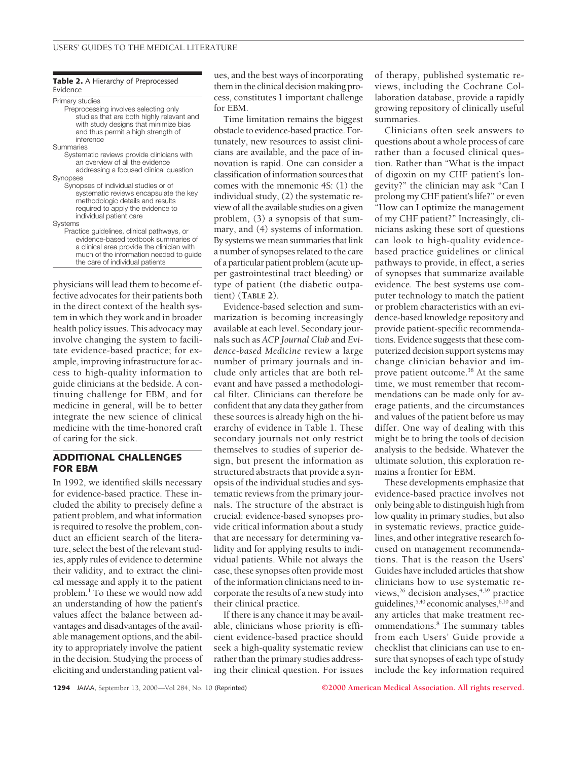#### **Table 2.** A Hierarchy of Preprocessed Evidence

#### Primary studies

- Preprocessing involves selecting only studies that are both highly relevant and with study designs that minimize bias and thus permit a high strength of inference
- Summaries
- Systematic reviews provide clinicians with an overview of all the evidence addressing a focused clinical question Synopses
- Synopses of individual studies or of systematic reviews encapsulate the key methodologic details and results required to apply the evidence to individual patient care
- Systems Practice guidelines, clinical pathways, or evidence-based textbook summaries of a clinical area provide the clinician with much of the information needed to guide the care of individual patients

physicians will lead them to become effective advocates for their patients both in the direct context of the health system in which they work and in broader health policy issues. This advocacy may involve changing the system to facilitate evidence-based practice; for example, improving infrastructure for access to high-quality information to guide clinicians at the bedside. A continuing challenge for EBM, and for medicine in general, will be to better integrate the new science of clinical medicine with the time-honored craft of caring for the sick.

## **ADDITIONAL CHALLENGES FOR EBM**

In 1992, we identified skills necessary for evidence-based practice. These included the ability to precisely define a patient problem, and what information is required to resolve the problem, conduct an efficient search of the literature, select the best of the relevant studies, apply rules of evidence to determine their validity, and to extract the clinical message and apply it to the patient problem.1 To these we would now add an understanding of how the patient's values affect the balance between advantages and disadvantages of the available management options, and the ability to appropriately involve the patient in the decision. Studying the process of eliciting and understanding patient values, and the best ways of incorporating them in the clinical decision making process, constitutes 1 important challenge for EBM.

Time limitation remains the biggest obstacle to evidence-based practice. Fortunately, new resources to assist clinicians are available, and the pace of innovation is rapid. One can consider a classification of information sources that comes with the mnemonic 4S: (1) the individual study, (2) the systematic review of all the available studies on a given problem, (3) a synopsis of that summary, and (4) systems of information. By systems we mean summaries that link a number of synopses related to the care of a particular patient problem (acute upper gastrointestinal tract bleeding) or type of patient (the diabetic outpatient) (**TABLE 2**).

Evidence-based selection and summarization is becoming increasingly available at each level. Secondary journals such as *ACP Journal Club* and *Evidence-based Medicine* review a large number of primary journals and include only articles that are both relevant and have passed a methodological filter. Clinicians can therefore be confident that any data they gather from these sources is already high on the hierarchy of evidence in Table 1. These secondary journals not only restrict themselves to studies of superior design, but present the information as structured abstracts that provide a synopsis of the individual studies and systematic reviews from the primary journals. The structure of the abstract is crucial: evidence-based synopses provide critical information about a study that are necessary for determining validity and for applying results to individual patients. While not always the case, these synopses often provide most of the information clinicians need to incorporate the results of a new study into their clinical practice.

If there is any chance it may be available, clinicians whose priority is efficient evidence-based practice should seek a high-quality systematic review rather than the primary studies addressing their clinical question. For issues of therapy, published systematic reviews, including the Cochrane Collaboration database, provide a rapidly growing repository of clinically useful summaries.

Clinicians often seek answers to questions about a whole process of care rather than a focused clinical question. Rather than "What is the impact of digoxin on my CHF patient's longevity?" the clinician may ask "Can I prolong my CHF patient's life?" or even "How can I optimize the management of my CHF patient?" Increasingly, clinicians asking these sort of questions can look to high-quality evidencebased practice guidelines or clinical pathways to provide, in effect, a series of synopses that summarize available evidence. The best systems use computer technology to match the patient or problem characteristics with an evidence-based knowledge repository and provide patient-specific recommendations. Evidence suggests that these computerized decision support systems may change clinician behavior and improve patient outcome.38 At the same time, we must remember that recommendations can be made only for average patients, and the circumstances and values of the patient before us may differ. One way of dealing with this might be to bring the tools of decision analysis to the bedside. Whatever the ultimate solution, this exploration remains a frontier for EBM.

These developments emphasize that evidence-based practice involves not only being able to distinguish high from low quality in primary studies, but also in systematic reviews, practice guidelines, and other integrative research focused on management recommendations. That is the reason the Users' Guides have included articles that show clinicians how to use systematic reviews,<sup>26</sup> decision analyses,<sup>4,39</sup> practice guidelines, $5,40$  economic analyses, $6,10$  and any articles that make treatment recommendations.8 The summary tables from each Users' Guide provide a checklist that clinicians can use to ensure that synopses of each type of study include the key information required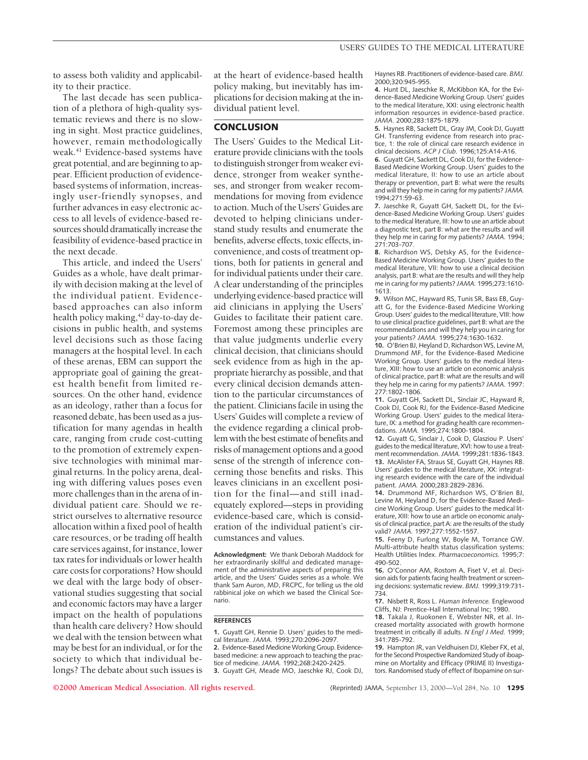to assess both validity and applicability to their practice.

The last decade has seen publication of a plethora of high-quality systematic reviews and there is no slowing in sight. Most practice guidelines, however, remain methodologically weak.41 Evidence-based systems have great potential, and are beginning to appear. Efficient production of evidencebased systems of information, increasingly user-friendly synopses, and further advances in easy electronic access to all levels of evidence-based resources should dramatically increase the feasibility of evidence-based practice in the next decade.

This article, and indeed the Users' Guides as a whole, have dealt primarily with decision making at the level of the individual patient. Evidencebased approaches can also inform health policy making,<sup>42</sup> day-to-day decisions in public health, and systems level decisions such as those facing managers at the hospital level. In each of these arenas, EBM can support the appropriate goal of gaining the greatest health benefit from limited resources. On the other hand, evidence as an ideology, rather than a focus for reasoned debate, has been used as a justification for many agendas in health care, ranging from crude cost-cutting to the promotion of extremely expensive technologies with minimal marginal returns. In the policy arena, dealing with differing values poses even more challenges than in the arena of individual patient care. Should we restrict ourselves to alternative resource allocation within a fixed pool of health care resources, or be trading off health care services against, for instance, lower tax rates for individuals or lower health care costs for corporations? How should we deal with the large body of observational studies suggesting that social and economic factors may have a larger impact on the health of populations than health care delivery? How should we deal with the tension between what may be best for an individual, or for the society to which that individual belongs? The debate about such issues is at the heart of evidence-based health policy making, but inevitably has implications for decision making at the individual patient level.

# **CONCLUSION**

The Users' Guides to the Medical Literature provide clinicians with the tools to distinguish stronger from weaker evidence, stronger from weaker syntheses, and stronger from weaker recommendations for moving from evidence to action. Much of the Users' Guides are devoted to helping clinicians understand study results and enumerate the benefits, adverse effects, toxic effects, inconvenience, and costs of treatment options, both for patients in general and for individual patients under their care. A clear understanding of the principles underlying evidence-based practice will aid clinicians in applying the Users' Guides to facilitate their patient care. Foremost among these principles are that value judgments underlie every clinical decision, that clinicians should seek evidence from as high in the appropriate hierarchy as possible, and that every clinical decision demands attention to the particular circumstances of the patient. Clinicians facile in using the Users' Guides will complete a review of the evidence regarding a clinical problem with the best estimate of benefits and risks of management options and a good sense of the strength of inference concerning those benefits and risks. This leaves clinicians in an excellent position for the final—and still inadequately explored—steps in providing evidence-based care, which is consideration of the individual patient's circumstances and values.

**Acknowledgment:** We thank Deborah Maddock for her extraordinarily skillful and dedicated management of the administrative aspects of preparing this article, and the Users' Guides series as a whole. We thank Sam Auron, MD, FRCPC, for telling us the old rabbinical joke on which we based the Clinical Scenario.

#### **REFERENCES**

**1.** Guyatt GH, Rennie D. Users' guides to the medical literature. *JAMA.* 1993;270:2096-2097. **2.** Evidence-Based Medicine Working Group. Evidencebased medicine: a new approach to teaching the practice of medicine. *JAMA.* 1992;268:2420-2425. **3.** Guyatt GH, Meade MO, Jaeschke RJ, Cook DJ, Haynes RB. Practitioners of evidence-based care. *BMJ.* 2000;320:945-955.

**4.** Hunt DL, Jaeschke R, McKibbon KA, for the Evidence-Based Medicine Working Group. Users' guides to the medical literature, XXI: using electronic health information resources in evidence-based practice. *JAMA.* 2000;283:1875-1879.

**5.** Haynes RB, Sackett DL, Gray JM, Cook DJ, Guyatt GH. Transferring evidence from research into practice, 1: the role of clinical care research evidence in clinical decisions. *ACP J Club.* 1996;125:A14-A16.

**6.** Guyatt GH, Sackett DL, Cook DJ, for the Evidence-Based Medicine Working Group. Users' guides to the medical literature, II: how to use an article about therapy or prevention, part B: what were the results and will they help me in caring for my patients? *JAMA.* 1994;271:59-63.

**7.** Jaeschke R, Guyatt GH, Sackett DL, for the Evidence-Based Medicine Working Group. Users' guides to the medical literature, III: how to use an article about a diagnostic test, part B: what are the results and will they help me in caring for my patients? *JAMA.* 1994; 271:703-707.

**8.** Richardson WS, Detsky AS, for the Evidence-Based Medicine Working Group. Users' guides to the medical literature, VII: how to use a clinical decision analysis, part B: what are the results and will they help me in caring for my patients? *JAMA.* 1995;273:1610- 1613.

**9.** Wilson MC, Hayward RS, Tunis SR, Bass EB, Guyatt G, for the Evidence-Based Medicine Working Group. Users' guides to the medical literature, VIII: how to use clinical practice guidelines, part B: what are the recommendations and will they help you in caring for your patients? *JAMA.* 1995;274:1630-1632.

**10.** O'Brien BJ, Heyland D, Richardson WS, Levine M, Drummond MF, for the Evidence-Based Medicine Working Group. Users' guides to the medical literature, XIII: how to use an article on economic analysis of clinical practice, part B: what are the results and will they help me in caring for my patients? *JAMA.* 1997: 277:1802-1806.

**11.** Guyatt GH, Sackett DL, Sinclair JC, Hayward R, Cook DJ, Cook RJ, for the Evidence-Based Medicine Working Group. Users' guides to the medical literature, IX: a method for grading health care recommendations. *JAMA.* 1995;274:1800-1804.

**12.** Guyatt G, Sinclair J, Cook D, Glasziou P. Users' guides to the medical literature, XVI: how to use a treatment recommendation. *JAMA.* 1999;281:1836-1843. **13.** McAlister FA, Straus SE, Guyatt GH, Haynes RB. Users' guides to the medical literature, XX: integrating research evidence with the care of the individual patient. *JAMA.* 2000;283:2829-2836.

**14.** Drummond MF, Richardson WS, O'Brien BJ, Levine M, Heyland D, for the Evidence-Based Medicine Working Group. Users' guides to the medical literature, XIII: how to use an article on economic analysis of clinical practice, part A: are the results of the study valid? *JAMA.* 1997;277:1552-1557.

**15.** Feeny D, Furlong W, Boyle M, Torrance GW. Multi-attribute health status classification systems: Health Utilities Index. *Pharmacoeconomics.* 1995;7: 490-502.

**16.** O'Connor AM, Rostom A, Fiset V, et al. Decision aids for patients facing health treatment or screening decisions: systematic review. *BMJ.* 1999;319:731- 734.

**17.** Nisbett R, Ross L. *Human Inference.* Englewood Cliffs, NJ: Prentice-Hall International Inc; 1980.

**18.** Takala J, Ruokonen E, Webster NR, et al. Increased mortality associated with growth hormone treatment in critically ill adults. *N Engl J Med.* 1999; 341:785-792.

**19.** Hampton JR, van Veldhuisen DJ, Kleber FX, et al, for the Second Prospective Randomized Study of iboapmine on Mortality and Efficacy (PRIME II) Investigators. Randomised study of effect of Ibopamine on sur-

**©2000 American Medical Association. All rights reserved.** (Reprinted) JAMA, September 13, 2000—Vol 284, No. 10 **1295**